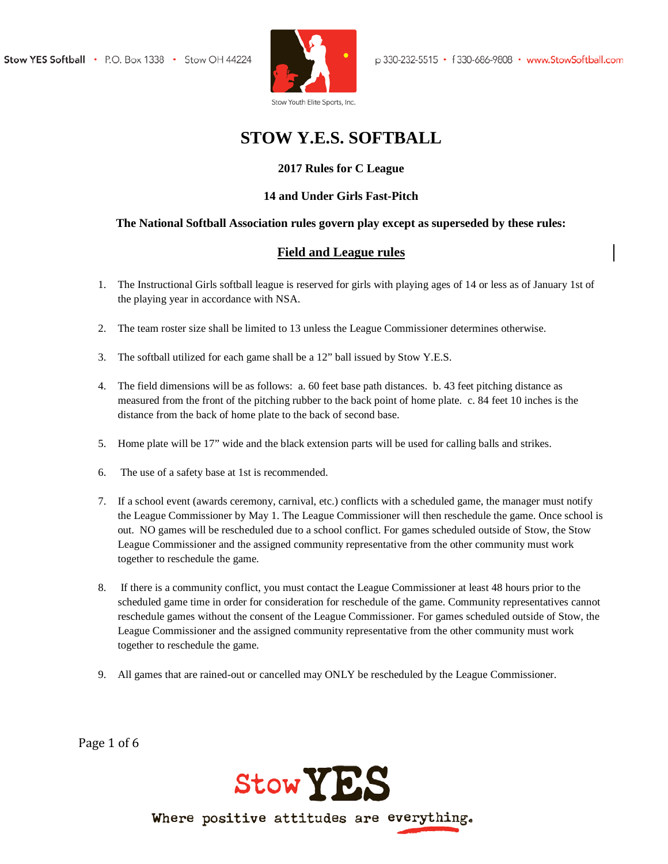

# **STOW Y.E.S. SOFTBALL**

## **2017 Rules for C League**

#### **14 and Under Girls Fast-Pitch**

#### **The National Softball Association rules govern play except as superseded by these rules:**

## **Field and League rules**

- 1. The Instructional Girls softball league is reserved for girls with playing ages of 14 or less as of January 1st of the playing year in accordance with NSA.
- 2. The team roster size shall be limited to 13 unless the League Commissioner determines otherwise.
- 3. The softball utilized for each game shall be a 12" ball issued by Stow Y.E.S.
- 4. The field dimensions will be as follows: a. 60 feet base path distances. b. 43 feet pitching distance as measured from the front of the pitching rubber to the back point of home plate. c. 84 feet 10 inches is the distance from the back of home plate to the back of second base.
- 5. Home plate will be 17" wide and the black extension parts will be used for calling balls and strikes.
- 6. The use of a safety base at 1st is recommended.
- 7. If a school event (awards ceremony, carnival, etc.) conflicts with a scheduled game, the manager must notify the League Commissioner by May 1. The League Commissioner will then reschedule the game. Once school is out. NO games will be rescheduled due to a school conflict. For games scheduled outside of Stow, the Stow League Commissioner and the assigned community representative from the other community must work together to reschedule the game.
- 8. If there is a community conflict, you must contact the League Commissioner at least 48 hours prior to the scheduled game time in order for consideration for reschedule of the game. Community representatives cannot reschedule games without the consent of the League Commissioner. For games scheduled outside of Stow, the League Commissioner and the assigned community representative from the other community must work together to reschedule the game.
- 9. All games that are rained-out or cancelled may ONLY be rescheduled by the League Commissioner.

Page 1 of 6

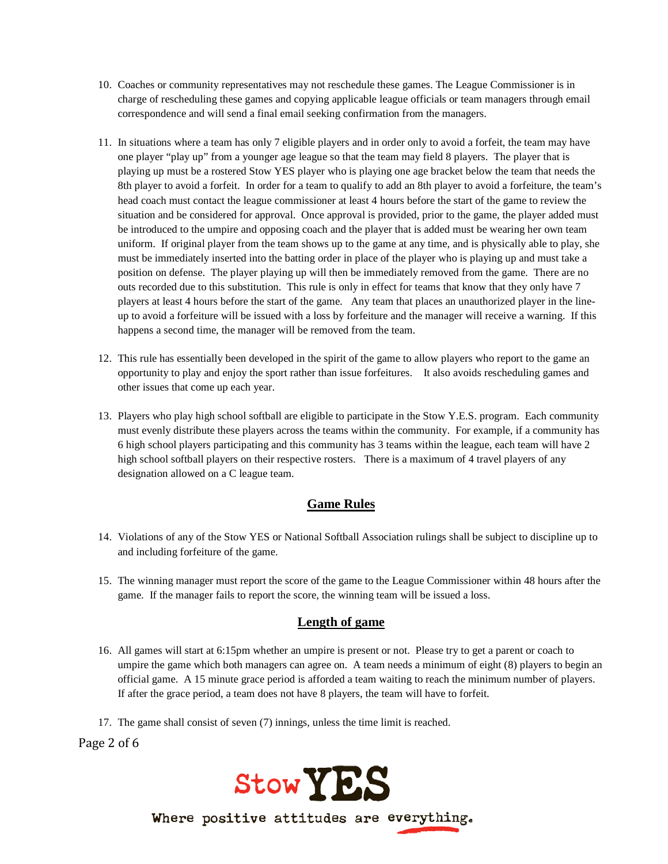- 10. Coaches or community representatives may not reschedule these games. The League Commissioner is in charge of rescheduling these games and copying applicable league officials or team managers through email correspondence and will send a final email seeking confirmation from the managers.
- 11. In situations where a team has only 7 eligible players and in order only to avoid a forfeit, the team may have one player "play up" from a younger age league so that the team may field 8 players. The player that is playing up must be a rostered Stow YES player who is playing one age bracket below the team that needs the 8th player to avoid a forfeit. In order for a team to qualify to add an 8th player to avoid a forfeiture, the team's head coach must contact the league commissioner at least 4 hours before the start of the game to review the situation and be considered for approval. Once approval is provided, prior to the game, the player added must be introduced to the umpire and opposing coach and the player that is added must be wearing her own team uniform. If original player from the team shows up to the game at any time, and is physically able to play, she must be immediately inserted into the batting order in place of the player who is playing up and must take a position on defense. The player playing up will then be immediately removed from the game. There are no outs recorded due to this substitution. This rule is only in effect for teams that know that they only have 7 players at least 4 hours before the start of the game. Any team that places an unauthorized player in the lineup to avoid a forfeiture will be issued with a loss by forfeiture and the manager will receive a warning. If this happens a second time, the manager will be removed from the team.
- 12. This rule has essentially been developed in the spirit of the game to allow players who report to the game an opportunity to play and enjoy the sport rather than issue forfeitures. It also avoids rescheduling games and other issues that come up each year.
- 13. Players who play high school softball are eligible to participate in the Stow Y.E.S. program. Each community must evenly distribute these players across the teams within the community. For example, if a community has 6 high school players participating and this community has 3 teams within the league, each team will have 2 high school softball players on their respective rosters. There is a maximum of 4 travel players of any designation allowed on a C league team.

### **Game Rules**

- 14. Violations of any of the Stow YES or National Softball Association rulings shall be subject to discipline up to and including forfeiture of the game.
- 15. The winning manager must report the score of the game to the League Commissioner within 48 hours after the game. If the manager fails to report the score, the winning team will be issued a loss.

#### **Length of game**

- 16. All games will start at 6:15pm whether an umpire is present or not. Please try to get a parent or coach to umpire the game which both managers can agree on. A team needs a minimum of eight (8) players to begin an official game. A 15 minute grace period is afforded a team waiting to reach the minimum number of players. If after the grace period, a team does not have 8 players, the team will have to forfeit.
- 17. The game shall consist of seven (7) innings, unless the time limit is reached.

Page 2 of 6

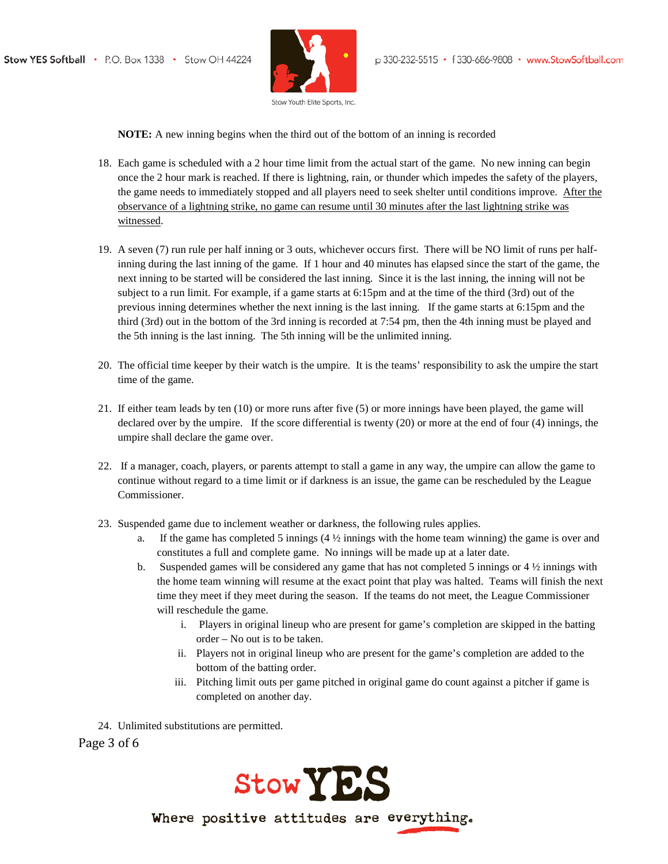

**NOTE:** A new inning begins when the third out of the bottom of an inning is recorded

- 18. Each game is scheduled with a 2 hour time limit from the actual start of the game. No new inning can begin once the 2 hour mark is reached. If there is lightning, rain, or thunder which impedes the safety of the players, the game needs to immediately stopped and all players need to seek shelter until conditions improve. After the observance of a lightning strike, no game can resume until 30 minutes after the last lightning strike was witnessed.
- 19. A seven (7) run rule per half inning or 3 outs, whichever occurs first. There will be NO limit of runs per halfinning during the last inning of the game. If 1 hour and 40 minutes has elapsed since the start of the game, the next inning to be started will be considered the last inning. Since it is the last inning, the inning will not be subject to a run limit. For example, if a game starts at 6:15pm and at the time of the third (3rd) out of the previous inning determines whether the next inning is the last inning. If the game starts at 6:15pm and the third (3rd) out in the bottom of the 3rd inning is recorded at 7:54 pm, then the 4th inning must be played and the 5th inning is the last inning. The 5th inning will be the unlimited inning.
- 20. The official time keeper by their watch is the umpire. It is the teams' responsibility to ask the umpire the start time of the game.
- 21. If either team leads by ten (10) or more runs after five (5) or more innings have been played, the game will declared over by the umpire. If the score differential is twenty (20) or more at the end of four (4) innings, the umpire shall declare the game over.
- 22. If a manager, coach, players, or parents attempt to stall a game in any way, the umpire can allow the game to continue without regard to a time limit or if darkness is an issue, the game can be rescheduled by the League Commissioner.
- 23. Suspended game due to inclement weather or darkness, the following rules applies.
	- If the game has completed 5 innings (4  $\frac{1}{2}$  innings with the home team winning) the game is over and constitutes a full and complete game. No innings will be made up at a later date.
	- b. Suspended games will be considered any game that has not completed 5 innings or  $4\frac{1}{2}$  innings with the home team winning will resume at the exact point that play was halted. Teams will finish the next time they meet if they meet during the season. If the teams do not meet, the League Commissioner will reschedule the game.
		- i. Players in original lineup who are present for game's completion are skipped in the batting order – No out is to be taken.
		- ii. Players not in original lineup who are present for the game's completion are added to the bottom of the batting order.
		- iii. Pitching limit outs per game pitched in original game do count against a pitcher if game is completed on another day.
- 24. Unlimited substitutions are permitted.

Page 3 of 6

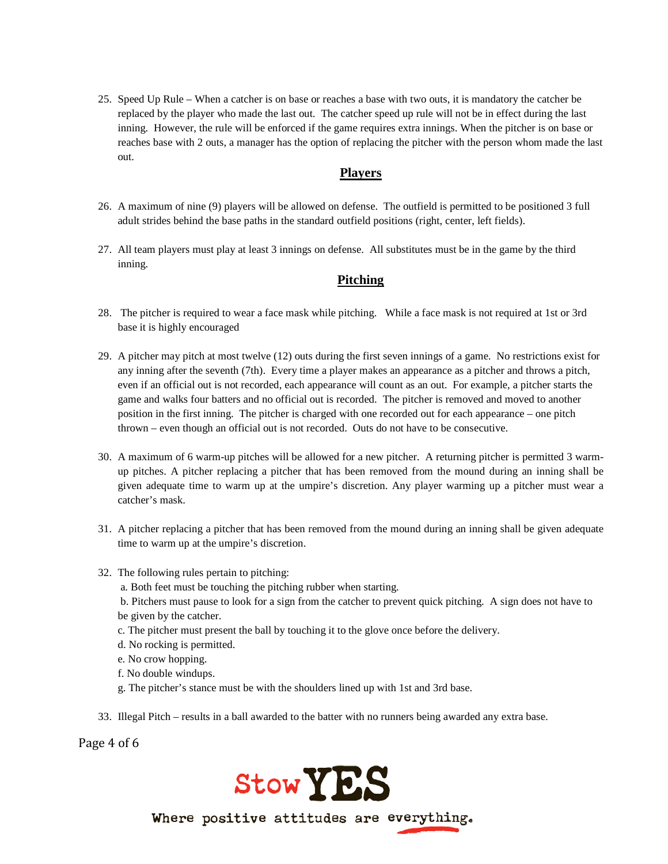25. Speed Up Rule – When a catcher is on base or reaches a base with two outs, it is mandatory the catcher be replaced by the player who made the last out. The catcher speed up rule will not be in effect during the last inning. However, the rule will be enforced if the game requires extra innings. When the pitcher is on base or reaches base with 2 outs, a manager has the option of replacing the pitcher with the person whom made the last out.

#### **Players**

- 26. A maximum of nine (9) players will be allowed on defense. The outfield is permitted to be positioned 3 full adult strides behind the base paths in the standard outfield positions (right, center, left fields).
- 27. All team players must play at least 3 innings on defense. All substitutes must be in the game by the third inning.

#### **Pitching**

- 28. The pitcher is required to wear a face mask while pitching. While a face mask is not required at 1st or 3rd base it is highly encouraged
- 29. A pitcher may pitch at most twelve (12) outs during the first seven innings of a game. No restrictions exist for any inning after the seventh (7th). Every time a player makes an appearance as a pitcher and throws a pitch, even if an official out is not recorded, each appearance will count as an out. For example, a pitcher starts the game and walks four batters and no official out is recorded. The pitcher is removed and moved to another position in the first inning. The pitcher is charged with one recorded out for each appearance – one pitch thrown – even though an official out is not recorded. Outs do not have to be consecutive.
- 30. A maximum of 6 warm-up pitches will be allowed for a new pitcher. A returning pitcher is permitted 3 warmup pitches. A pitcher replacing a pitcher that has been removed from the mound during an inning shall be given adequate time to warm up at the umpire's discretion. Any player warming up a pitcher must wear a catcher's mask.
- 31. A pitcher replacing a pitcher that has been removed from the mound during an inning shall be given adequate time to warm up at the umpire's discretion.
- 32. The following rules pertain to pitching:
	- a. Both feet must be touching the pitching rubber when starting.
	- b. Pitchers must pause to look for a sign from the catcher to prevent quick pitching. A sign does not have to be given by the catcher.
	- c. The pitcher must present the ball by touching it to the glove once before the delivery.
	- d. No rocking is permitted.
	- e. No crow hopping.
	- f. No double windups.
	- g. The pitcher's stance must be with the shoulders lined up with 1st and 3rd base.
- 33. Illegal Pitch results in a ball awarded to the batter with no runners being awarded any extra base.

Page 4 of 6

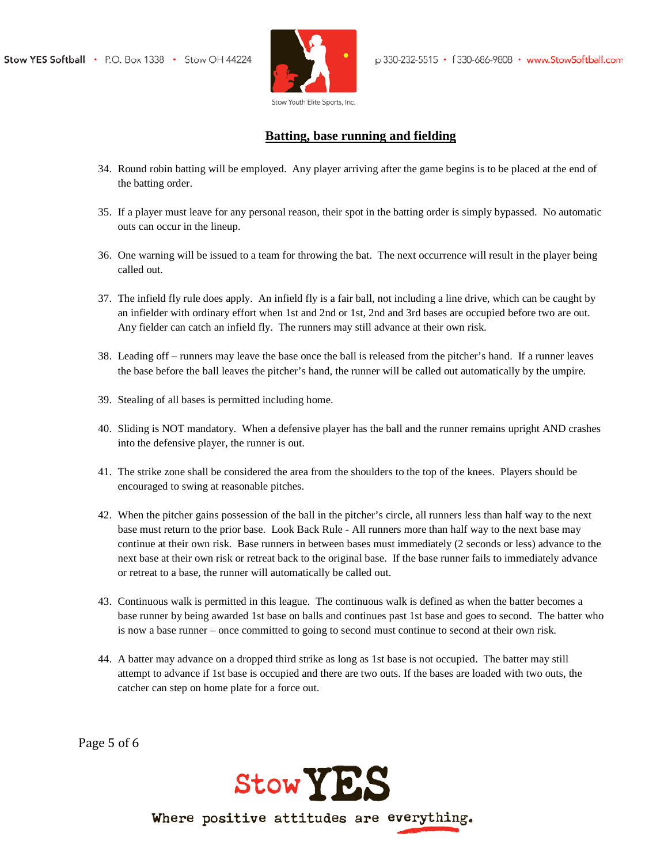

## **Batting, base running and fielding**

- 34. Round robin batting will be employed. Any player arriving after the game begins is to be placed at the end of the batting order.
- 35. If a player must leave for any personal reason, their spot in the batting order is simply bypassed. No automatic outs can occur in the lineup.
- 36. One warning will be issued to a team for throwing the bat. The next occurrence will result in the player being called out.
- 37. The infield fly rule does apply. An infield fly is a fair ball, not including a line drive, which can be caught by an infielder with ordinary effort when 1st and 2nd or 1st, 2nd and 3rd bases are occupied before two are out. Any fielder can catch an infield fly. The runners may still advance at their own risk.
- 38. Leading off runners may leave the base once the ball is released from the pitcher's hand. If a runner leaves the base before the ball leaves the pitcher's hand, the runner will be called out automatically by the umpire.
- 39. Stealing of all bases is permitted including home.
- 40. Sliding is NOT mandatory. When a defensive player has the ball and the runner remains upright AND crashes into the defensive player, the runner is out.
- 41. The strike zone shall be considered the area from the shoulders to the top of the knees. Players should be encouraged to swing at reasonable pitches.
- 42. When the pitcher gains possession of the ball in the pitcher's circle, all runners less than half way to the next base must return to the prior base. Look Back Rule - All runners more than half way to the next base may continue at their own risk. Base runners in between bases must immediately (2 seconds or less) advance to the next base at their own risk or retreat back to the original base. If the base runner fails to immediately advance or retreat to a base, the runner will automatically be called out.
- 43. Continuous walk is permitted in this league. The continuous walk is defined as when the batter becomes a base runner by being awarded 1st base on balls and continues past 1st base and goes to second. The batter who is now a base runner – once committed to going to second must continue to second at their own risk.
- 44. A batter may advance on a dropped third strike as long as 1st base is not occupied. The batter may still attempt to advance if 1st base is occupied and there are two outs. If the bases are loaded with two outs, the catcher can step on home plate for a force out.

Page 5 of 6